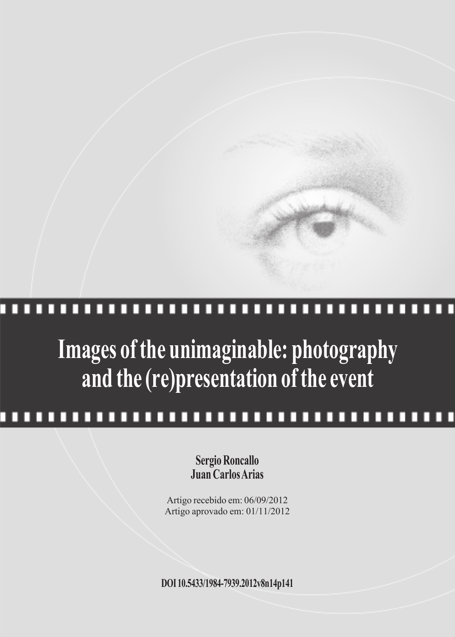**Images of the unimaginable: photography and the (re)presentation of the event**

**Sergio Roncallo Juan Carlos Arias**

Artigo recebido em: 06/09/2012 Artigo aprovado em: 01/11/2012

**DOI 10.5433/1984-7939.2012v8n14p141**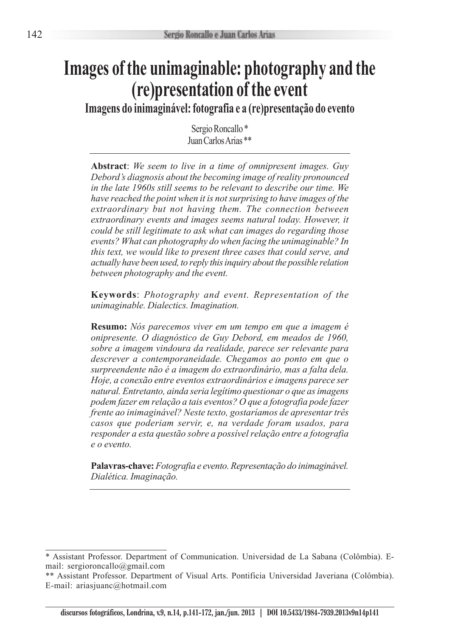## **Images of the unimaginable: photography and the (re)presentation of the event**

**Imagens do inimaginável: fotografia e a (re)presentação do evento**

Sergio Roncallo \* Juan Carlos Arias \*\*

**Abstract**: *We seem to live in a time of omnipresent images. Guy Debord's diagnosis about the becoming image of reality pronounced in the late 1960s still seems to be relevant to describe our time. We have reached the point when it is not surprising to have images of the extraordinary but not having them. The connection between extraordinary events and images seems natural today. However, it could be still legitimate to ask what can images do regarding those events? What can photography do when facing the unimaginable? In this text, we would like to present three cases that could serve, and actually have been used, to reply this inquiry about the possible relation between photography and the event.*

**Keywords**: *Photography and event. Representation of the unimaginable. Dialectics. Imagination.*

**Resumo:** *Nós parecemos viver em um tempo em que a imagem é onipresente. O diagnóstico de Guy Debord, em meados de 1960, sobre a imagem vindoura da realidade, parece ser relevante para descrever a contemporaneidade. Chegamos ao ponto em que o surpreendente não é a imagem do extraordinário, mas a falta dela. Hoje, a conexão entre eventos extraordinários e imagens parece ser natural. Entretanto, ainda seria legítimo questionar o que as imagens podem fazer em relação a tais eventos? O que a fotografia pode fazer frente ao inimaginável? Neste texto, gostaríamos de apresentar três casos que poderiam servir, e, na verdade foram usados, para responder a esta questão sobre a possível relação entre a fotografia e o evento.*

**Palavras-chave:** *Fotografia e evento. Representação do inimaginável. Dialética. Imaginação.*

<sup>\*</sup> Assistant Professor. Department of Communication. Universidad de La Sabana (Colômbia). Email: sergioroncallo@gmail.com

<sup>\*\*</sup> Assistant Professor. Department of Visual Arts. Pontificia Universidad Javeriana (Colômbia). E-mail: ariasjuanc@hotmail.com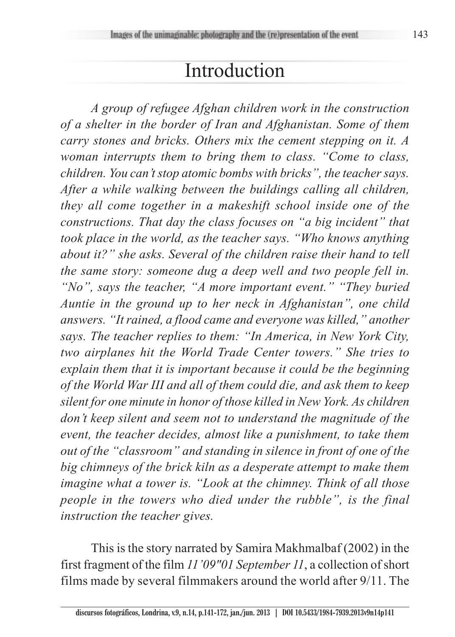### Introduction

*A group of refugee Afghan children work in the construction of a shelter in the border of Iran and Afghanistan. Some of them carry stones and bricks. Others mix the cement stepping on it. A woman interrupts them to bring them to class. "Come to class, children. You can't stop atomic bombs with bricks", the teacher says. After a while walking between the buildings calling all children, they all come together in a makeshift school inside one of the constructions. That day the class focuses on "a big incident" that took place in the world, as the teacher says. "Who knows anything about it?" she asks. Several of the children raise their hand to tell the same story: someone dug a deep well and two people fell in. "No", says the teacher, "A more important event." "They buried Auntie in the ground up to her neck in Afghanistan", one child answers. "It rained, a flood came and everyone was killed," another says. The teacher replies to them: "In America, in New York City, two airplanes hit the World Trade Center towers." She tries to explain them that it is important because it could be the beginning of the World War III and all of them could die, and ask them to keep silent for one minute in honor of those killed in New York. As children don't keep silent and seem not to understand the magnitude of the event, the teacher decides, almost like a punishment, to take them out of the "classroom" and standing in silence in front of one of the big chimneys of the brick kiln as a desperate attempt to make them imagine what a tower is. "Look at the chimney. Think of all those people in the towers who died under the rubble", is the final instruction the teacher gives.*

This is the story narrated by Samira Makhmalbaf (2002) in the first fragment of the film *11'09"01 September 11*, a collection of short films made by several filmmakers around the world after 9/11. The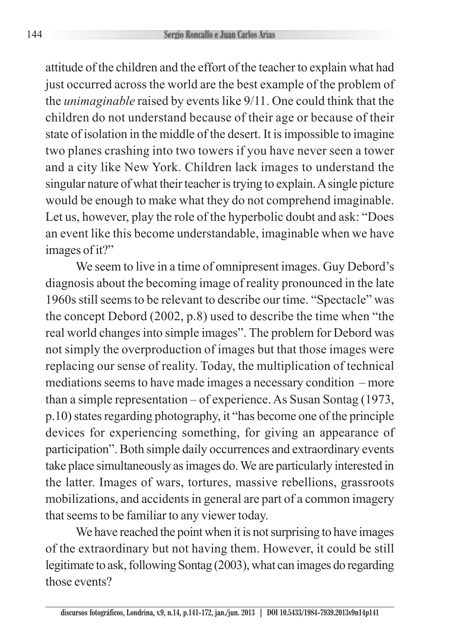attitude of the children and the effort of the teacher to explain what had just occurred across the world are the best example of the problem of the *unimaginable* raised by events like 9/11. One could think that the children do not understand because of their age or because of their state of isolation in the middle of the desert. It is impossible to imagine two planes crashing into two towers if you have never seen a tower and a city like New York. Children lack images to understand the singular nature of what their teacher is trying to explain. A single picture would be enough to make what they do not comprehend imaginable. Let us, however, play the role of the hyperbolic doubt and ask: "Does an event like this become understandable, imaginable when we have images of it?"

We seem to live in a time of omnipresent images. Guy Debord's diagnosis about the becoming image of reality pronounced in the late 1960s still seems to be relevant to describe our time. "Spectacle" was the concept Debord (2002, p.8) used to describe the time when "the real world changes into simple images". The problem for Debord was not simply the overproduction of images but that those images were replacing our sense of reality. Today, the multiplication of technical mediations seems to have made images a necessary condition – more than a simple representation – of experience. As Susan Sontag (1973, p.10) states regarding photography, it "has become one of the principle devices for experiencing something, for giving an appearance of participation". Both simple daily occurrences and extraordinary events take place simultaneously as images do. We are particularly interested in the latter. Images of wars, tortures, massive rebellions, grassroots mobilizations, and accidents in general are part of a common imagery that seems to be familiar to any viewer today.

We have reached the point when it is not surprising to have images of the extraordinary but not having them. However, it could be still legitimate to ask, following Sontag (2003), what can images do regarding those events?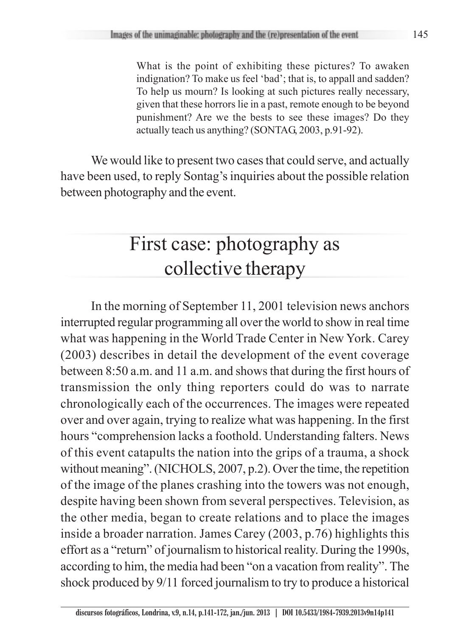What is the point of exhibiting these pictures? To awaken indignation? To make us feel 'bad'; that is, to appall and sadden? To help us mourn? Is looking at such pictures really necessary, given that these horrors lie in a past, remote enough to be beyond punishment? Are we the bests to see these images? Do they actually teach us anything? (SONTAG, 2003, p.91-92).

We would like to present two cases that could serve, and actually have been used, to reply Sontag's inquiries about the possible relation between photography and the event.

# First case: photography as collective therapy

In the morning of September 11, 2001 television news anchors interrupted regular programming all over the world to show in real time what was happening in the World Trade Center in New York. Carey (2003) describes in detail the development of the event coverage between 8:50 a.m. and 11 a.m. and shows that during the first hours of transmission the only thing reporters could do was to narrate chronologically each of the occurrences. The images were repeated over and over again, trying to realize what was happening. In the first hours "comprehension lacks a foothold. Understanding falters. News of this event catapults the nation into the grips of a trauma, a shock without meaning". (NICHOLS, 2007, p.2). Over the time, the repetition of the image of the planes crashing into the towers was not enough, despite having been shown from several perspectives. Television, as the other media, began to create relations and to place the images inside a broader narration. James Carey (2003, p.76) highlights this effort as a "return" of journalism to historical reality. During the 1990s, according to him, the media had been "on a vacation from reality". The shock produced by 9/11 forced journalism to try to produce a historical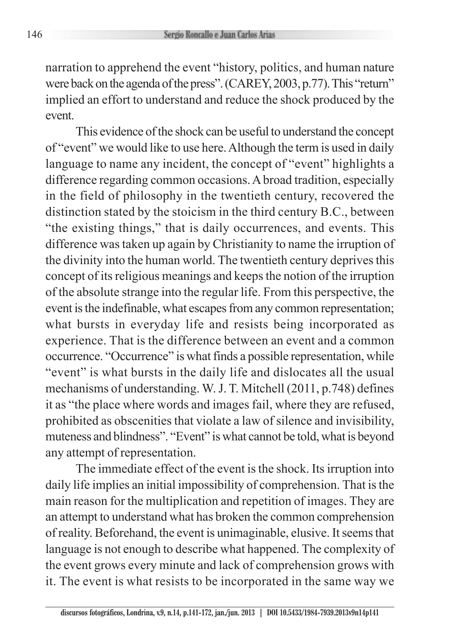narration to apprehend the event "history, politics, and human nature were back on the agenda of the press". (CAREY, 2003, p.77). This "return" implied an effort to understand and reduce the shock produced by the event.

This evidence of the shock can be useful to understand the concept of "event" we would like to use here. Although the term is used in daily language to name any incident, the concept of "event" highlights a difference regarding common occasions. A broad tradition, especially in the field of philosophy in the twentieth century, recovered the distinction stated by the stoicism in the third century B.C., between "the existing things," that is daily occurrences, and events. This difference was taken up again by Christianity to name the irruption of the divinity into the human world. The twentieth century deprives this concept of its religious meanings and keeps the notion of the irruption of the absolute strange into the regular life. From this perspective, the event is the indefinable, what escapes from any common representation; what bursts in everyday life and resists being incorporated as experience. That is the difference between an event and a common occurrence. "Occurrence" is what finds a possible representation, while "event" is what bursts in the daily life and dislocates all the usual mechanisms of understanding. W. J. T. Mitchell (2011, p.748) defines it as "the place where words and images fail, where they are refused, prohibited as obscenities that violate a law of silence and invisibility, muteness and blindness". "Event" is what cannot be told, what is beyond any attempt of representation.

The immediate effect of the event is the shock. Its irruption into daily life implies an initial impossibility of comprehension. That is the main reason for the multiplication and repetition of images. They are an attempt to understand what has broken the common comprehension of reality. Beforehand, the event is unimaginable, elusive. It seems that language is not enough to describe what happened. The complexity of the event grows every minute and lack of comprehension grows with it. The event is what resists to be incorporated in the same way we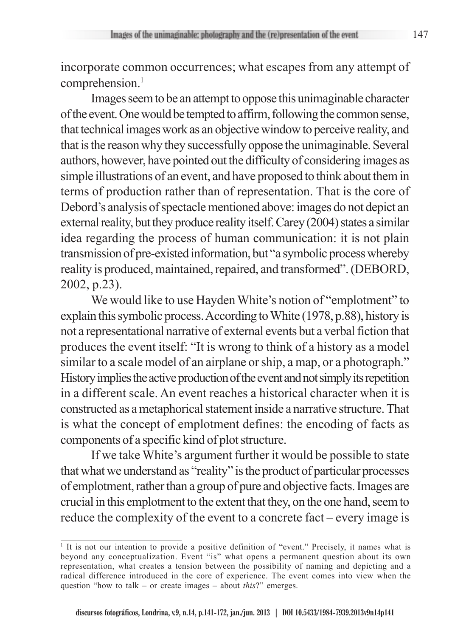incorporate common occurrences; what escapes from any attempt of comprehension.<sup>1</sup>

Images seem to be an attempt to oppose this unimaginable character of the event. One would be tempted to affirm, following the common sense, that technical images work as an objective window to perceive reality, and that is the reason why they successfully oppose the unimaginable. Several authors, however, have pointed out the difficulty of considering images as simple illustrations of an event, and have proposed to think about them in terms of production rather than of representation. That is the core of Debord's analysis of spectacle mentioned above: images do not depict an external reality, but they produce reality itself. Carey (2004) states a similar idea regarding the process of human communication: it is not plain transmission of pre-existed information, but "a symbolic process whereby reality is produced, maintained, repaired, and transformed". (DEBORD, 2002, p.23).

We would like to use Hayden White's notion of "emplotment" to explain this symbolic process. According to White (1978, p.88), history is not a representational narrative of external events but a verbal fiction that produces the event itself: "It is wrong to think of a history as a model similar to a scale model of an airplane or ship, a map, or a photograph." History implies the active production of the event and not simply its repetition in a different scale. An event reaches a historical character when it is constructed as a metaphorical statement inside a narrative structure. That is what the concept of emplotment defines: the encoding of facts as components of a specific kind of plot structure.

If we take White's argument further it would be possible to state that what we understand as "reality" is the product of particular processes of emplotment, rather than a group of pure and objective facts. Images are crucial in this emplotment to the extent that they, on the one hand, seem to reduce the complexity of the event to a concrete fact – every image is

<sup>&</sup>lt;sup>1</sup> It is not our intention to provide a positive definition of "event." Precisely, it names what is beyond any conceptualization. Event "is" what opens a permanent question about its own representation, what creates a tension between the possibility of naming and depicting and a radical difference introduced in the core of experience. The event comes into view when the question "how to talk – or create images – about *this*?" emerges.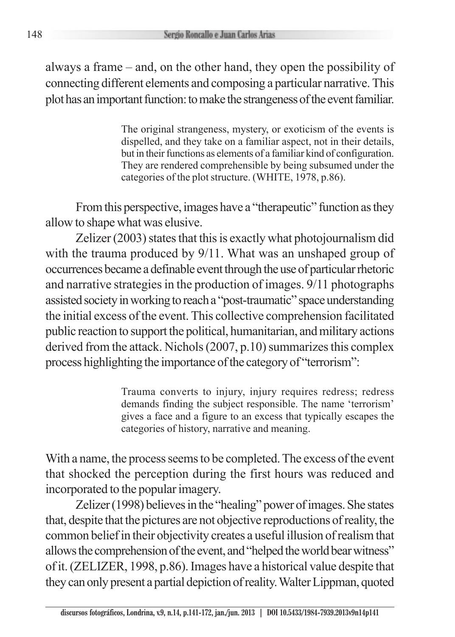always a frame – and, on the other hand, they open the possibility of connecting different elements and composing a particular narrative. This plot has an important function: to make the strangeness of the event familiar.

> The original strangeness, mystery, or exoticism of the events is dispelled, and they take on a familiar aspect, not in their details, but in their functions as elements of a familiar kind of configuration. They are rendered comprehensible by being subsumed under the categories of the plot structure. (WHITE, 1978, p.86).

From this perspective, images have a "therapeutic" function as they allow to shape what was elusive.

Zelizer (2003) states that this is exactly what photojournalism did with the trauma produced by 9/11. What was an unshaped group of occurrences became a definable event through the use of particular rhetoric and narrative strategies in the production of images. 9/11 photographs assisted society in working to reach a "post-traumatic" space understanding the initial excess of the event. This collective comprehension facilitated public reaction to support the political, humanitarian, and military actions derived from the attack. Nichols (2007, p.10) summarizes this complex process highlighting the importance of the category of "terrorism":

> Trauma converts to injury, injury requires redress; redress demands finding the subject responsible. The name 'terrorism' gives a face and a figure to an excess that typically escapes the categories of history, narrative and meaning.

With a name, the process seems to be completed. The excess of the event that shocked the perception during the first hours was reduced and incorporated to the popular imagery.

Zelizer (1998) believes in the "healing" power of images. She states that, despite that the pictures are not objective reproductions of reality, the common belief in their objectivity creates a useful illusion of realism that allows the comprehension of the event, and "helped the world bear witness" of it. (ZELIZER, 1998, p.86). Images have a historical value despite that they can only present a partial depiction of reality. Walter Lippman, quoted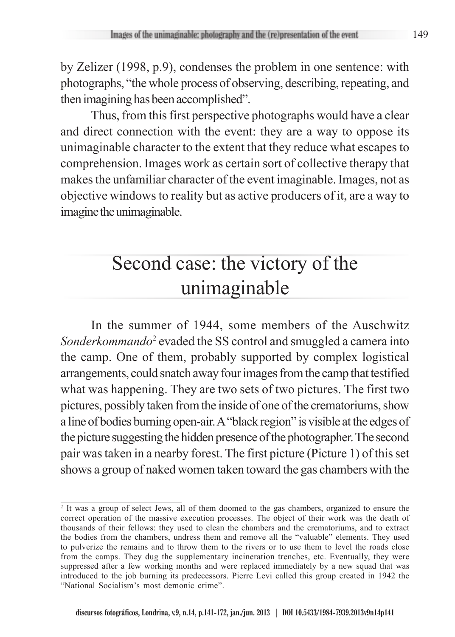by Zelizer (1998, p.9), condenses the problem in one sentence: with photographs, "the whole process of observing, describing, repeating, and then imagining has been accomplished".

Thus, from this first perspective photographs would have a clear and direct connection with the event: they are a way to oppose its unimaginable character to the extent that they reduce what escapes to comprehension. Images work as certain sort of collective therapy that makes the unfamiliar character of the event imaginable. Images, not as objective windows to reality but as active producers of it, are a way to imagine the unimaginable.

# Second case: the victory of the unimaginable

In the summer of 1944, some members of the Auschwitz Sonderkommando<sup>2</sup> evaded the SS control and smuggled a camera into the camp. One of them, probably supported by complex logistical arrangements, could snatch away four images from the camp that testified what was happening. They are two sets of two pictures. The first two pictures, possibly taken from the inside of one of the crematoriums, show a line of bodies burning open-air. A "black region" is visible at the edges of the picture suggesting the hidden presence of the photographer. The second pair was taken in a nearby forest. The first picture (Picture 1) of this set shows a group of naked women taken toward the gas chambers with the

<sup>2</sup> It was a group of select Jews, all of them doomed to the gas chambers, organized to ensure the correct operation of the massive execution processes. The object of their work was the death of thousands of their fellows: they used to clean the chambers and the crematoriums, and to extract the bodies from the chambers, undress them and remove all the "valuable" elements. They used to pulverize the remains and to throw them to the rivers or to use them to level the roads close from the camps. They dug the supplementary incineration trenches, etc. Eventually, they were suppressed after a few working months and were replaced immediately by a new squad that was introduced to the job burning its predecessors. Pierre Levi called this group created in 1942 the "National Socialism's most demonic crime".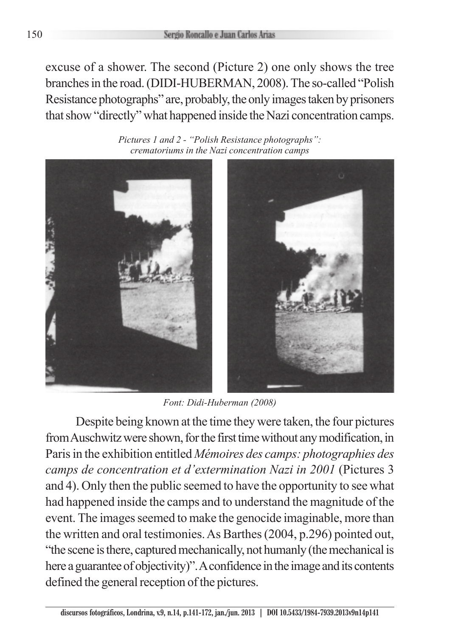excuse of a shower. The second (Picture 2) one only shows the tree branches in the road. (DIDI-HUBERMAN, 2008). The so-called "Polish Resistance photographs" are, probably, the only images taken by prisoners that show "directly" what happened inside the Nazi concentration camps.

> *Pictures 1 and 2 - "Polish Resistance photographs": crematoriums in the Nazi concentration camps*



Despite being known at the time they were taken, the four pictures from Auschwitz were shown, for the first time without any modification, in Paris in the exhibition entitled *Mémoires des camps: photographies des camps de concentration et d'extermination Nazi in 2001* (Pictures 3 and 4). Only then the public seemed to have the opportunity to see what had happened inside the camps and to understand the magnitude of the event. The images seemed to make the genocide imaginable, more than the written and oral testimonies. As Barthes (2004, p.296) pointed out, "the scene is there, captured mechanically, not humanly (the mechanical is here a guarantee of objectivity)". A confidence in the image and its contents defined the general reception of the pictures.

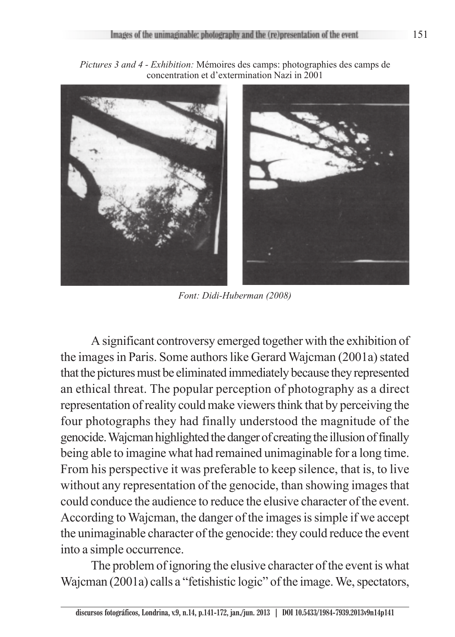*Pictures 3 and 4 - Exhibition:* Mémoires des camps: photographies des camps de concentration et d'extermination Nazi in 2001



*Font: Didi-Huberman (2008)*

A significant controversy emerged together with the exhibition of the images in Paris. Some authors like Gerard Wajcman (2001a) stated that the pictures must be eliminated immediately because they represented an ethical threat. The popular perception of photography as a direct representation of reality could make viewers think that by perceiving the four photographs they had finally understood the magnitude of the genocide. Wajcman highlighted the danger of creating the illusion of finally being able to imagine what had remained unimaginable for a long time. From his perspective it was preferable to keep silence, that is, to live without any representation of the genocide, than showing images that could conduce the audience to reduce the elusive character of the event. According to Wajcman, the danger of the images is simple if we accept the unimaginable character of the genocide: they could reduce the event into a simple occurrence.

The problem of ignoring the elusive character of the event is what Wajcman (2001a) calls a "fetishistic logic" of the image. We, spectators,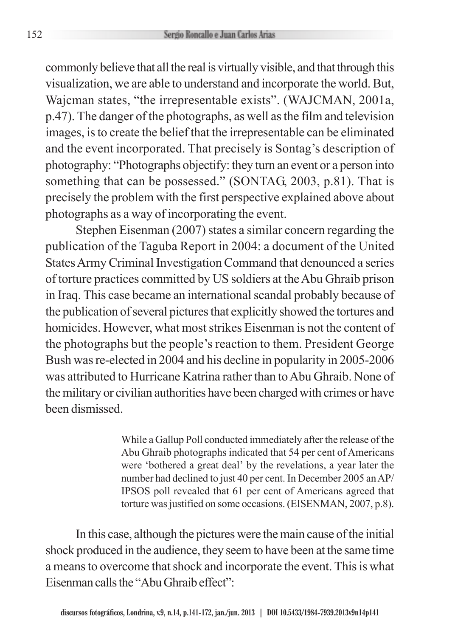commonly believe that all the real is virtually visible, and that through this visualization, we are able to understand and incorporate the world. But, Wajcman states, "the irrepresentable exists". (WAJCMAN, 2001a, p.47). The danger of the photographs, as well as the film and television images, is to create the belief that the irrepresentable can be eliminated and the event incorporated. That precisely is Sontag's description of photography: "Photographs objectify: they turn an event or a person into something that can be possessed." (SONTAG, 2003, p.81). That is precisely the problem with the first perspective explained above about photographs as a way of incorporating the event.

Stephen Eisenman (2007) states a similar concern regarding the publication of the Taguba Report in 2004: a document of the United States Army Criminal Investigation Command that denounced a series of torture practices committed by US soldiers at the Abu Ghraib prison in Iraq. This case became an international scandal probably because of the publication of several pictures that explicitly showed the tortures and homicides. However, what most strikes Eisenman is not the content of the photographs but the people's reaction to them. President George Bush was re-elected in 2004 and his decline in popularity in 2005-2006 was attributed to Hurricane Katrina rather than to Abu Ghraib. None of the military or civilian authorities have been charged with crimes or have been dismissed.

> While a Gallup Poll conducted immediately after the release of the Abu Ghraib photographs indicated that 54 per cent of Americans were 'bothered a great deal' by the revelations, a year later the number had declined to just 40 per cent. In December 2005 an AP/ IPSOS poll revealed that 61 per cent of Americans agreed that torture was justified on some occasions. (EISENMAN, 2007, p.8).

In this case, although the pictures were the main cause of the initial shock produced in the audience, they seem to have been at the same time a means to overcome that shock and incorporate the event. This is what Eisenman calls the "Abu Ghraib effect":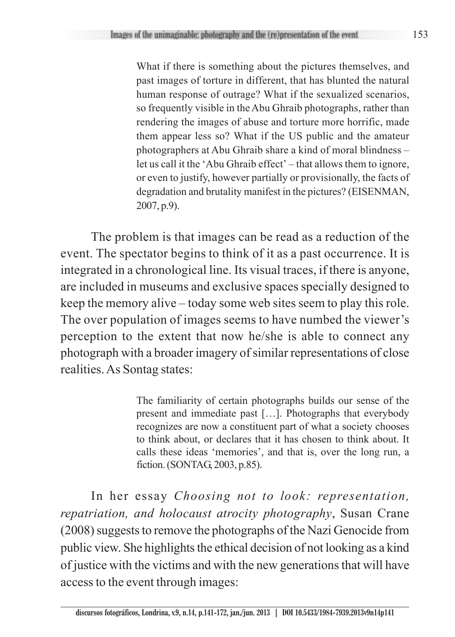What if there is something about the pictures themselves, and past images of torture in different, that has blunted the natural human response of outrage? What if the sexualized scenarios, so frequently visible in the Abu Ghraib photographs, rather than rendering the images of abuse and torture more horrific, made them appear less so? What if the US public and the amateur photographers at Abu Ghraib share a kind of moral blindness – let us call it the 'Abu Ghraib effect' – that allows them to ignore, or even to justify, however partially or provisionally, the facts of degradation and brutality manifest in the pictures? (EISENMAN, 2007, p.9).

The problem is that images can be read as a reduction of the event. The spectator begins to think of it as a past occurrence. It is integrated in a chronological line. Its visual traces, if there is anyone, are included in museums and exclusive spaces specially designed to keep the memory alive – today some web sites seem to play this role. The over population of images seems to have numbed the viewer's perception to the extent that now he/she is able to connect any photograph with a broader imagery of similar representations of close realities. As Sontag states:

> The familiarity of certain photographs builds our sense of the present and immediate past […]. Photographs that everybody recognizes are now a constituent part of what a society chooses to think about, or declares that it has chosen to think about. It calls these ideas 'memories', and that is, over the long run, a fiction. (SONTAG, 2003, p.85).

In her essay *Choosing not to look: representation, repatriation, and holocaust atrocity photography*, Susan Crane (2008) suggests to remove the photographs of the Nazi Genocide from public view. She highlights the ethical decision of not looking as a kind of justice with the victims and with the new generations that will have access to the event through images: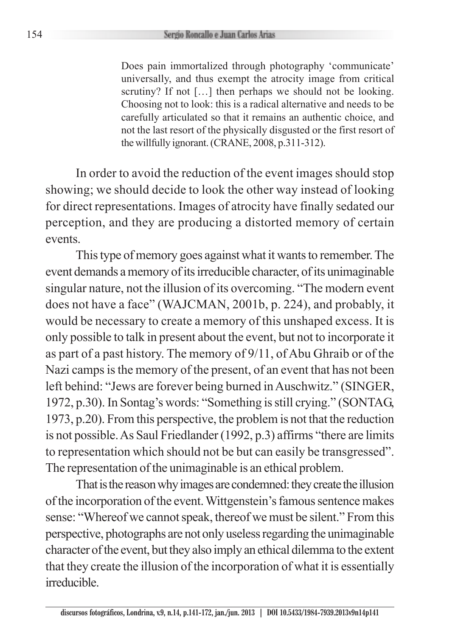Does pain immortalized through photography 'communicate' universally, and thus exempt the atrocity image from critical scrutiny? If not [...] then perhaps we should not be looking. Choosing not to look: this is a radical alternative and needs to be carefully articulated so that it remains an authentic choice, and not the last resort of the physically disgusted or the first resort of the willfully ignorant. (CRANE, 2008, p.311-312).

In order to avoid the reduction of the event images should stop showing; we should decide to look the other way instead of looking for direct representations. Images of atrocity have finally sedated our perception, and they are producing a distorted memory of certain events.

This type of memory goes against what it wants to remember. The event demands a memory of its irreducible character, of its unimaginable singular nature, not the illusion of its overcoming. "The modern event does not have a face" (WAJCMAN, 2001b, p. 224), and probably, it would be necessary to create a memory of this unshaped excess. It is only possible to talk in present about the event, but not to incorporate it as part of a past history. The memory of 9/11, of Abu Ghraib or of the Nazi camps is the memory of the present, of an event that has not been left behind: "Jews are forever being burned in Auschwitz." (SINGER, 1972, p.30). In Sontag's words: "Something is still crying." (SONTAG, 1973, p.20). From this perspective, the problem is not that the reduction is not possible. As Saul Friedlander (1992, p.3) affirms "there are limits to representation which should not be but can easily be transgressed". The representation of the unimaginable is an ethical problem.

That is the reason why images are condemned: they create the illusion of the incorporation of the event. Wittgenstein's famous sentence makes sense: "Whereof we cannot speak, thereof we must be silent." From this perspective, photographs are not only useless regarding the unimaginable character of the event, but they also imply an ethical dilemma to the extent that they create the illusion of the incorporation of what it is essentially irreducible.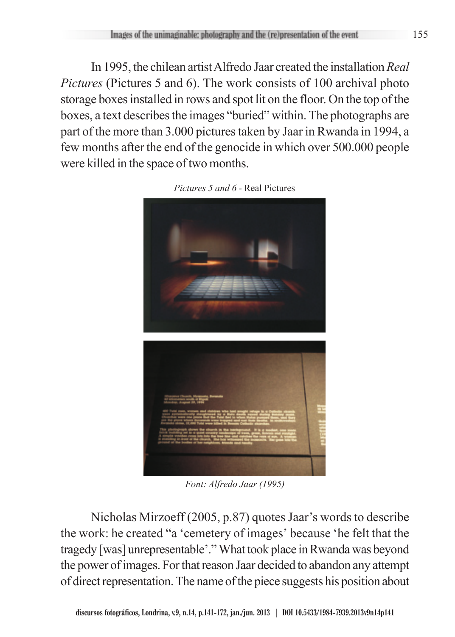In 1995, the chilean artist Alfredo Jaar created the installation *Real Pictures* (Pictures 5 and 6). The work consists of 100 archival photo storage boxes installed in rows and spot lit on the floor. On the top of the boxes, a text describes the images "buried" within. The photographs are part of the more than 3.000 pictures taken by Jaar in Rwanda in 1994, a few months after the end of the genocide in which over 500.000 people were killed in the space of two months.



*Pictures 5 and 6 -* Real Pictures

*Font: Alfredo Jaar (1995)*

Nicholas Mirzoeff (2005, p.87) quotes Jaar's words to describe the work: he created "a 'cemetery of images' because 'he felt that the tragedy [was] unrepresentable'." What took place in Rwanda was beyond the power of images. For that reason Jaar decided to abandon any attempt of direct representation. The name of the piece suggests his position about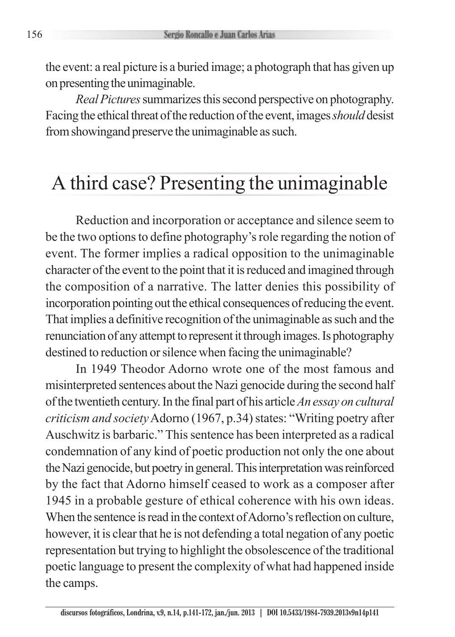the event: a real picture is a buried image; a photograph that has given up on presenting the unimaginable.

*Real Pictures* summarizes this second perspective on photography. Facing the ethical threat of the reduction of the event, images *should* desist from showingand preserve the unimaginable as such.

## A third case? Presenting the unimaginable

Reduction and incorporation or acceptance and silence seem to be the two options to define photography's role regarding the notion of event. The former implies a radical opposition to the unimaginable character of the event to the point that it is reduced and imagined through the composition of a narrative. The latter denies this possibility of incorporation pointing out the ethical consequences of reducing the event. That implies a definitive recognition of the unimaginable as such and the renunciation of any attempt to represent it through images. Is photography destined to reduction or silence when facing the unimaginable?

In 1949 Theodor Adorno wrote one of the most famous and misinterpreted sentences about the Nazi genocide during the second half of the twentieth century. In the final part of his article *An essay on cultural criticism and society* Adorno (1967, p.34) states: "Writing poetry after Auschwitz is barbaric." This sentence has been interpreted as a radical condemnation of any kind of poetic production not only the one about the Nazi genocide, but poetry in general. This interpretation was reinforced by the fact that Adorno himself ceased to work as a composer after 1945 in a probable gesture of ethical coherence with his own ideas. When the sentence is read in the context of Adorno's reflection on culture, however, it is clear that he is not defending a total negation of any poetic representation but trying to highlight the obsolescence of the traditional poetic language to present the complexity of what had happened inside the camps.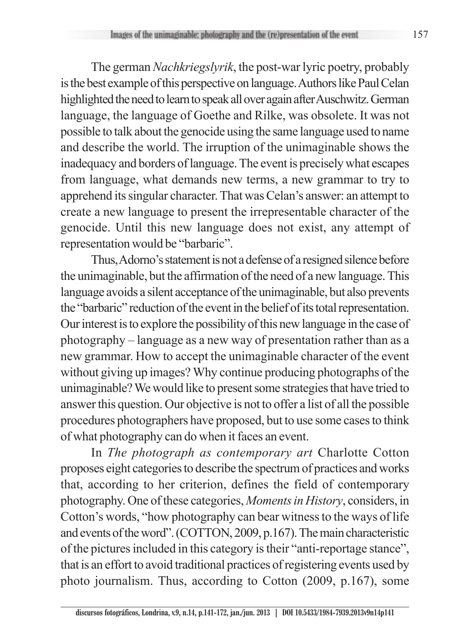The german *Nachkriegslyrik*, the post-war lyric poetry, probably is the best example of this perspective on language. Authors like Paul Celan highlighted the need to learn to speak all over again after Auschwitz. German language, the language of Goethe and Rilke, was obsolete. It was not possible to talk about the genocide using the same language used to name and describe the world. The irruption of the unimaginable shows the inadequacy and borders of language. The event is precisely what escapes from language, what demands new terms, a new grammar to try to apprehend its singular character. That was Celan's answer: an attempt to create a new language to present the irrepresentable character of the genocide. Until this new language does not exist, any attempt of representation would be "barbaric".

Thus, Adorno's statement is not a defense of a resigned silence before the unimaginable, but the affirmation of the need of a new language. This language avoids a silent acceptance of the unimaginable, but also prevents the "barbaric" reduction of the event in the belief of its total representation. Our interest is to explore the possibility of this new language in the case of photography – language as a new way of presentation rather than as a new grammar. How to accept the unimaginable character of the event without giving up images? Why continue producing photographs of the unimaginable? We would like to present some strategies that have tried to answer this question. Our objective is not to offer a list of all the possible procedures photographers have proposed, but to use some cases to think of what photography can do when it faces an event.

In *The photograph as contemporary art* Charlotte Cotton proposes eight categories to describe the spectrum of practices and works that, according to her criterion, defines the field of contemporary photography. One of these categories, *Moments in History*, considers, in Cotton's words, "how photography can bear witness to the ways of life and events of the word". (COTTON, 2009, p.167). The main characteristic of the pictures included in this category is their "anti-reportage stance", that is an effort to avoid traditional practices of registering events used by photo journalism. Thus, according to Cotton (2009, p.167), some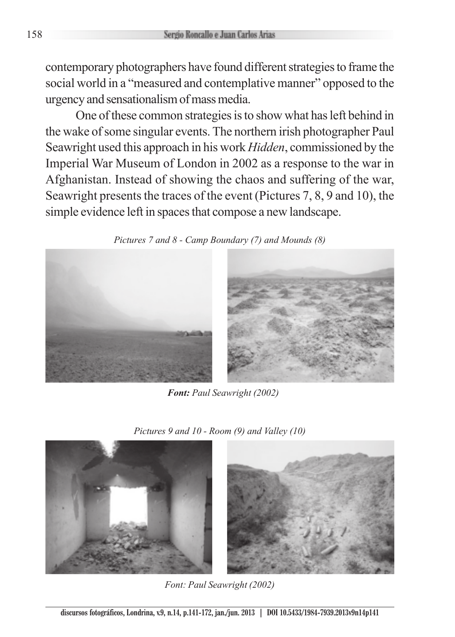contemporary photographers have found different strategies to frame the social world in a "measured and contemplative manner" opposed to the urgency and sensationalism of mass media.

One of these common strategies is to show what has left behind in the wake of some singular events. The northern irish photographer Paul Seawright used this approach in his work *Hidden*, commissioned by the Imperial War Museum of London in 2002 as a response to the war in Afghanistan. Instead of showing the chaos and suffering of the war, Seawright presents the traces of the event (Pictures 7, 8, 9 and 10), the simple evidence left in spaces that compose a new landscape.

*Pictures 7 and 8 - Camp Boundary (7) and Mounds (8)*

*Font: Paul Seawright (2002)*

*Font: Paul Seawright (2002)*

*Pictures 9 and 10 - Room (9) and Valley (10)*



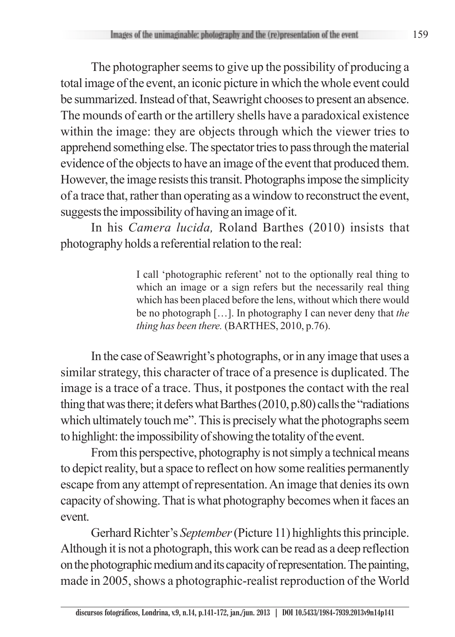The photographer seems to give up the possibility of producing a total image of the event, an iconic picture in which the whole event could be summarized. Instead of that, Seawright chooses to present an absence. The mounds of earth or the artillery shells have a paradoxical existence within the image: they are objects through which the viewer tries to apprehend something else. The spectator tries to pass through the material evidence of the objects to have an image of the event that produced them. However, the image resists this transit. Photographs impose the simplicity of a trace that, rather than operating as a window to reconstruct the event, suggests the impossibility of having an image of it.

In his *Camera lucida,* Roland Barthes (2010) insists that photography holds a referential relation to the real:

> I call 'photographic referent' not to the optionally real thing to which an image or a sign refers but the necessarily real thing which has been placed before the lens, without which there would be no photograph […]. In photography I can never deny that *the thing has been there.* (BARTHES, 2010, p.76).

In the case of Seawright's photographs, or in any image that uses a similar strategy, this character of trace of a presence is duplicated. The image is a trace of a trace. Thus, it postpones the contact with the real thing that was there; it defers what Barthes (2010, p.80) calls the "radiations which ultimately touch me". This is precisely what the photographs seem to highlight: the impossibility of showing the totality of the event.

From this perspective, photography is not simply a technical means to depict reality, but a space to reflect on how some realities permanently escape from any attempt of representation. An image that denies its own capacity of showing. That is what photography becomes when it faces an event.

Gerhard Richter's *September* (Picture 11) highlights this principle. Although it is not a photograph, this work can be read as a deep reflection on the photographic medium and its capacity of representation. The painting, made in 2005, shows a photographic-realist reproduction of the World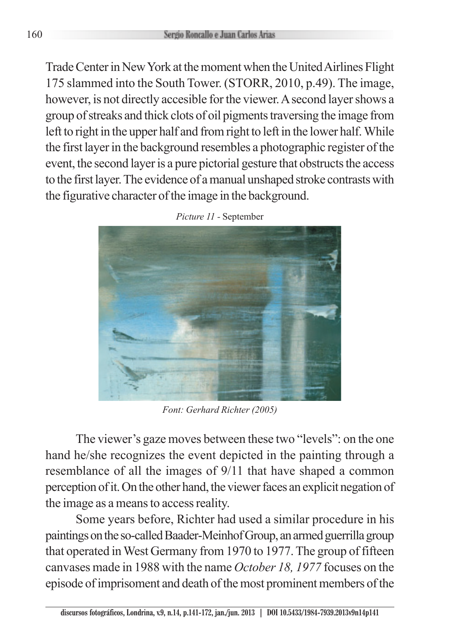Trade Center in New York at the moment when the United Airlines Flight 175 slammed into the South Tower. (STORR, 2010, p.49). The image, however, is not directly accesible for the viewer. A second layer shows a group of streaks and thick clots of oil pigments traversing the image from left to right in the upper half and from right to left in the lower half. While the first layer in the background resembles a photographic register of the event, the second layer is a pure pictorial gesture that obstructs the access to the first layer. The evidence of a manual unshaped stroke contrasts with the figurative character of the image in the background.



*Picture 11 -* September

*Font: Gerhard Richter (2005)*

The viewer's gaze moves between these two "levels": on the one hand he/she recognizes the event depicted in the painting through a resemblance of all the images of 9/11 that have shaped a common perception of it. On the other hand, the viewer faces an explicit negation of the image as a means to access reality.

Some years before, Richter had used a similar procedure in his paintings on the so-called Baader-Meinhof Group, an armed guerrilla group that operated in West Germany from 1970 to 1977. The group of fifteen canvases made in 1988 with the name *October 18, 1977* focuses on the episode of imprisoment and death of the most prominent members of the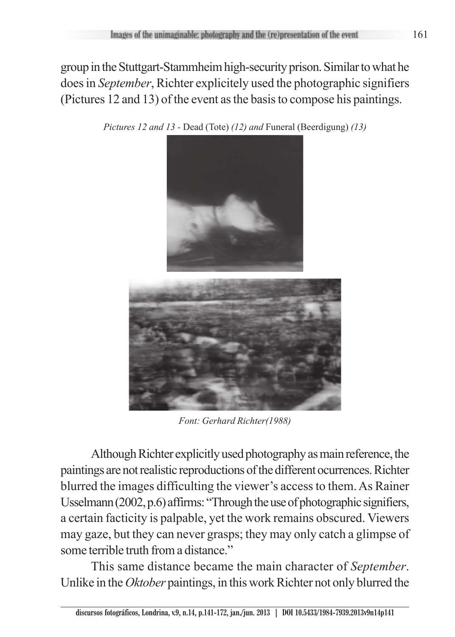group in the Stuttgart-Stammheim high-security prison. Similar to what he does in *September*, Richter explicitely used the photographic signifiers (Pictures 12 and 13) of the event as the basis to compose his paintings.



*Pictures 12 and 13 -* Dead (Tote) *(12) and* Funeral (Beerdigung) *(13)*

*Font: Gerhard Richter(1988)*

Although Richter explicitly used photography as main reference, the paintings are not realistic reproductions of the different ocurrences. Richter blurred the images difficulting the viewer's access to them. As Rainer Usselmann (2002, p.6) affirms: "Through the use of photographic signifiers, a certain facticity is palpable, yet the work remains obscured. Viewers may gaze, but they can never grasps; they may only catch a glimpse of some terrible truth from a distance."

This same distance became the main character of *September*. Unlike in the *Oktober* paintings, in this work Richter not only blurred the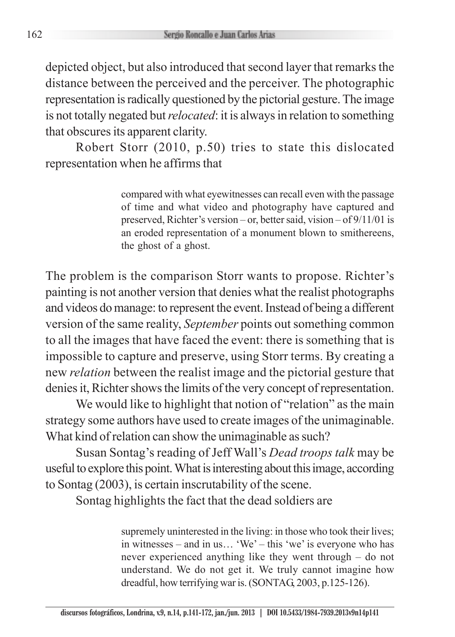depicted object, but also introduced that second layer that remarks the distance between the perceived and the perceiver. The photographic representation is radically questioned by the pictorial gesture. The image is not totally negated but *relocated*: it is always in relation to something that obscures its apparent clarity.

Robert Storr (2010, p.50) tries to state this dislocated representation when he affirms that

> compared with what eyewitnesses can recall even with the passage of time and what video and photography have captured and preserved, Richter's version – or, better said, vision – of 9/11/01 is an eroded representation of a monument blown to smithereens, the ghost of a ghost.

The problem is the comparison Storr wants to propose. Richter's painting is not another version that denies what the realist photographs and videos do manage: to represent the event. Instead of being a different version of the same reality, *September* points out something common to all the images that have faced the event: there is something that is impossible to capture and preserve, using Storr terms. By creating a new *relation* between the realist image and the pictorial gesture that denies it, Richter shows the limits of the very concept of representation.

We would like to highlight that notion of "relation" as the main strategy some authors have used to create images of the unimaginable. What kind of relation can show the unimaginable as such?

Susan Sontag's reading of Jeff Wall's *Dead troops talk* may be useful to explore this point. What is interesting about this image, according to Sontag (2003), is certain inscrutability of the scene.

Sontag highlights the fact that the dead soldiers are

supremely uninterested in the living: in those who took their lives; in witnesses – and in us… 'We' – this 'we' is everyone who has never experienced anything like they went through – do not understand. We do not get it. We truly cannot imagine how dreadful, how terrifying war is. (SONTAG, 2003, p.125-126).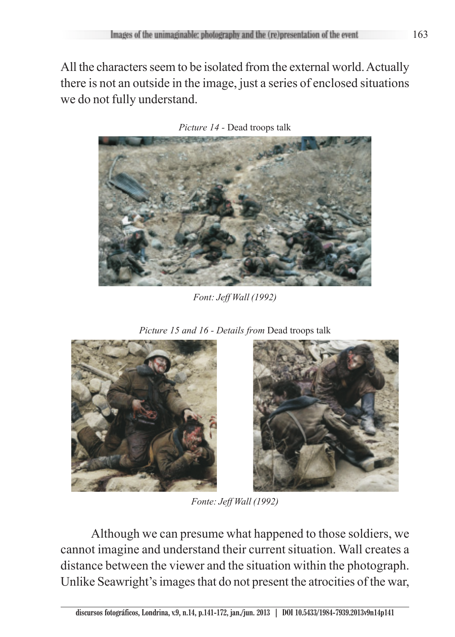All the characters seem to be isolated from the external world. Actually there is not an outside in the image, just a series of enclosed situations we do not fully understand.



*Picture 14 -* Dead troops talk

*Font: Jeff Wall (1992)*

*Picture 15 and 16 - Details from* Dead troops talk





*Fonte: Jeff Wall (1992)*

Although we can presume what happened to those soldiers, we cannot imagine and understand their current situation. Wall creates a distance between the viewer and the situation within the photograph. Unlike Seawright's images that do not present the atrocities of the war,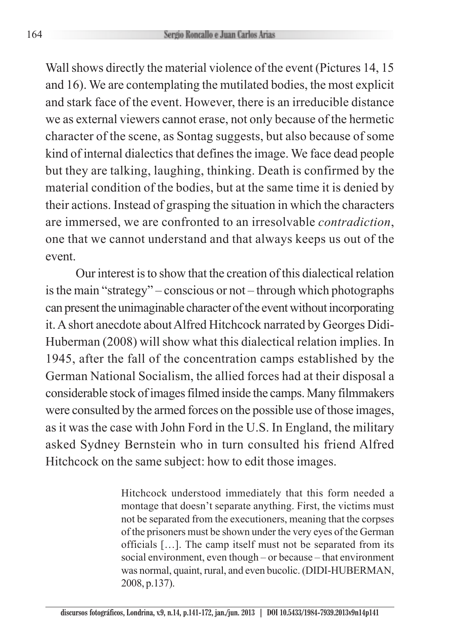Wall shows directly the material violence of the event (Pictures 14, 15 and 16). We are contemplating the mutilated bodies, the most explicit and stark face of the event. However, there is an irreducible distance we as external viewers cannot erase, not only because of the hermetic character of the scene, as Sontag suggests, but also because of some kind of internal dialectics that defines the image. We face dead people but they are talking, laughing, thinking. Death is confirmed by the material condition of the bodies, but at the same time it is denied by their actions. Instead of grasping the situation in which the characters are immersed, we are confronted to an irresolvable *contradiction*, one that we cannot understand and that always keeps us out of the event.

Our interest is to show that the creation of this dialectical relation is the main "strategy" – conscious or not – through which photographs can present the unimaginable character of the event without incorporating it. A short anecdote about Alfred Hitchcock narrated by Georges Didi-Huberman (2008) will show what this dialectical relation implies. In 1945, after the fall of the concentration camps established by the German National Socialism, the allied forces had at their disposal a considerable stock of images filmed inside the camps. Many filmmakers were consulted by the armed forces on the possible use of those images, as it was the case with John Ford in the U.S. In England, the military asked Sydney Bernstein who in turn consulted his friend Alfred Hitchcock on the same subject: how to edit those images.

> Hitchcock understood immediately that this form needed a montage that doesn't separate anything. First, the victims must not be separated from the executioners, meaning that the corpses of the prisoners must be shown under the very eyes of the German officials […]. The camp itself must not be separated from its social environment, even though – or because – that environment was normal, quaint, rural, and even bucolic. (DIDI-HUBERMAN, 2008, p.137).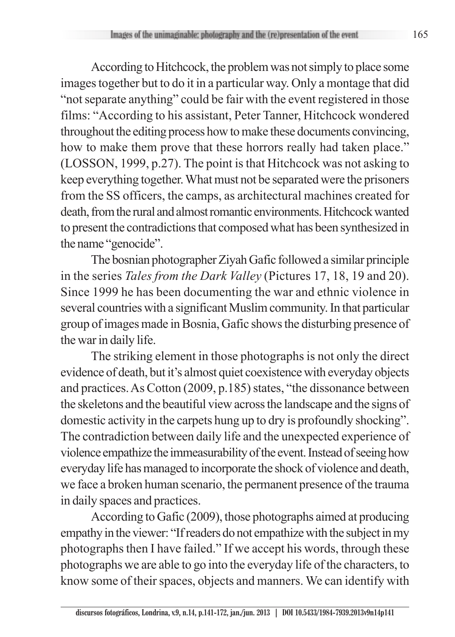According to Hitchcock, the problem was not simply to place some images together but to do it in a particular way. Only a montage that did "not separate anything" could be fair with the event registered in those films: "According to his assistant, Peter Tanner, Hitchcock wondered throughout the editing process how to make these documents convincing, how to make them prove that these horrors really had taken place." (LOSSON, 1999, p.27). The point is that Hitchcock was not asking to keep everything together. What must not be separated were the prisoners from the SS officers, the camps, as architectural machines created for death, from the rural and almost romantic environments. Hitchcock wanted to present the contradictions that composed what has been synthesized in the name "genocide".

The bosnian photographer Ziyah Gafic followed a similar principle in the series *Tales from the Dark Valley* (Pictures 17, 18, 19 and 20). Since 1999 he has been documenting the war and ethnic violence in several countries with a significant Muslim community. In that particular group of images made in Bosnia, Gafic shows the disturbing presence of the war in daily life.

The striking element in those photographs is not only the direct evidence of death, but it's almost quiet coexistence with everyday objects and practices. As Cotton (2009, p.185) states, "the dissonance between the skeletons and the beautiful view across the landscape and the signs of domestic activity in the carpets hung up to dry is profoundly shocking". The contradiction between daily life and the unexpected experience of violence empathize the immeasurability of the event. Instead of seeing how everyday life has managed to incorporate the shock of violence and death, we face a broken human scenario, the permanent presence of the trauma in daily spaces and practices.

According to Gafic (2009), those photographs aimed at producing empathy in the viewer: "If readers do not empathize with the subject in my photographs then I have failed." If we accept his words, through these photographs we are able to go into the everyday life of the characters, to know some of their spaces, objects and manners. We can identify with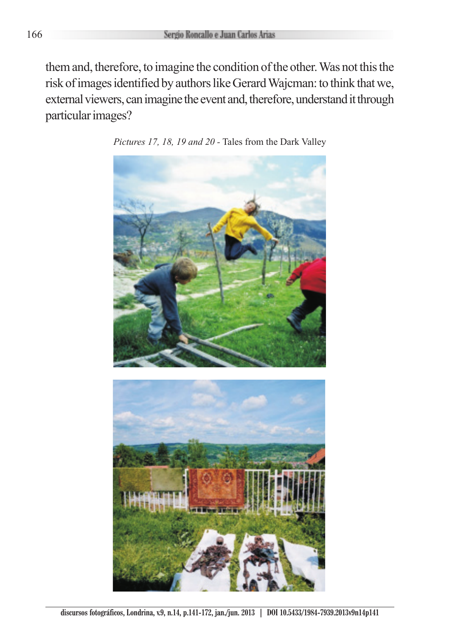them and, therefore, to imagine the condition of the other. Was not this the risk of images identified by authors like Gerard Wajcman: to think that we, external viewers, can imagine the event and, therefore, understand it through particular images?





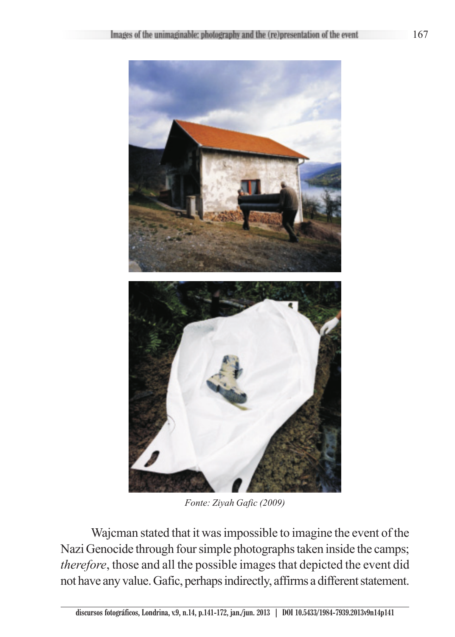

*Fonte: Ziyah Gafic (2009)*

Wajcman stated that it was impossible to imagine the event of the Nazi Genocide through four simple photographs taken inside the camps; *therefore*, those and all the possible images that depicted the event did not have any value. Gafic, perhaps indirectly, affirms a different statement.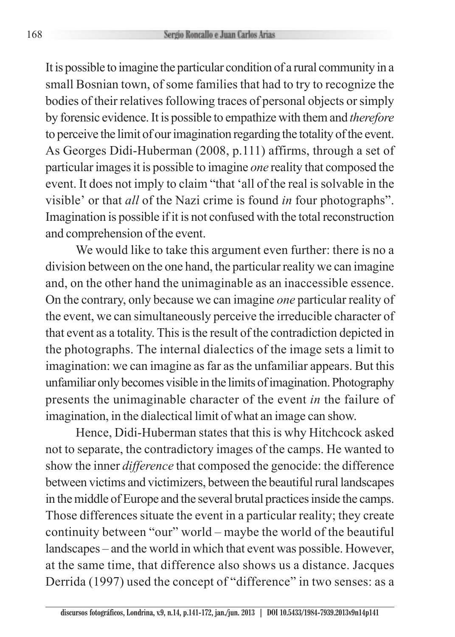It is possible to imagine the particular condition of a rural community in a small Bosnian town, of some families that had to try to recognize the bodies of their relatives following traces of personal objects or simply by forensic evidence. It is possible to empathize with them and *therefore* to perceive the limit of our imagination regarding the totality of the event. As Georges Didi-Huberman (2008, p.111) affirms, through a set of particular images it is possible to imagine *one* reality that composed the event. It does not imply to claim "that 'all of the real is solvable in the visible' or that *all* of the Nazi crime is found *in* four photographs". Imagination is possible if it is not confused with the total reconstruction and comprehension of the event.

We would like to take this argument even further: there is no a division between on the one hand, the particular reality we can imagine and, on the other hand the unimaginable as an inaccessible essence. On the contrary, only because we can imagine *one* particular reality of the event, we can simultaneously perceive the irreducible character of that event as a totality. This is the result of the contradiction depicted in the photographs. The internal dialectics of the image sets a limit to imagination: we can imagine as far as the unfamiliar appears. But this unfamiliar only becomes visible in the limits of imagination. Photography presents the unimaginable character of the event *in* the failure of imagination, in the dialectical limit of what an image can show.

Hence, Didi-Huberman states that this is why Hitchcock asked not to separate, the contradictory images of the camps. He wanted to show the inner *difference* that composed the genocide: the difference between victims and victimizers, between the beautiful rural landscapes in the middle of Europe and the several brutal practices inside the camps. Those differences situate the event in a particular reality; they create continuity between "our" world – maybe the world of the beautiful landscapes – and the world in which that event was possible. However, at the same time, that difference also shows us a distance. Jacques Derrida (1997) used the concept of "difference" in two senses: as a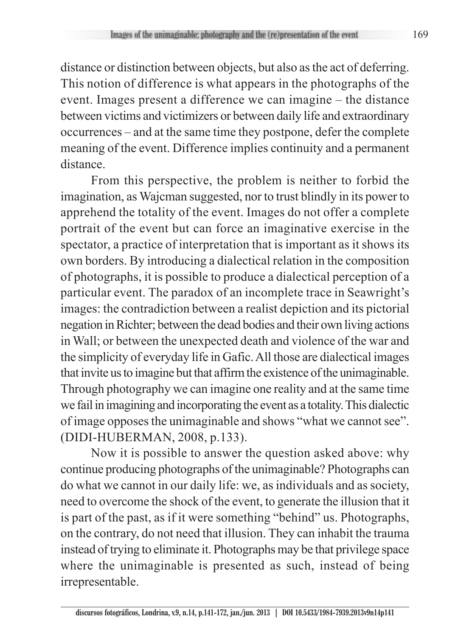distance or distinction between objects, but also as the act of deferring. This notion of difference is what appears in the photographs of the event. Images present a difference we can imagine – the distance between victims and victimizers or between daily life and extraordinary occurrences – and at the same time they postpone, defer the complete meaning of the event. Difference implies continuity and a permanent distance.

From this perspective, the problem is neither to forbid the imagination, as Wajcman suggested, nor to trust blindly in its power to apprehend the totality of the event. Images do not offer a complete portrait of the event but can force an imaginative exercise in the spectator, a practice of interpretation that is important as it shows its own borders. By introducing a dialectical relation in the composition of photographs, it is possible to produce a dialectical perception of a particular event. The paradox of an incomplete trace in Seawright's images: the contradiction between a realist depiction and its pictorial negation in Richter; between the dead bodies and their own living actions in Wall; or between the unexpected death and violence of the war and the simplicity of everyday life in Gafic. All those are dialectical images that invite us to imagine but that affirm the existence of the unimaginable. Through photography we can imagine one reality and at the same time we fail in imagining and incorporating the event as a totality. This dialectic of image opposes the unimaginable and shows "what we cannot see". (DIDI-HUBERMAN, 2008, p.133).

Now it is possible to answer the question asked above: why continue producing photographs of the unimaginable? Photographs can do what we cannot in our daily life: we, as individuals and as society, need to overcome the shock of the event, to generate the illusion that it is part of the past, as if it were something "behind" us. Photographs, on the contrary, do not need that illusion. They can inhabit the trauma instead of trying to eliminate it. Photographs may be that privilege space where the unimaginable is presented as such, instead of being irrepresentable.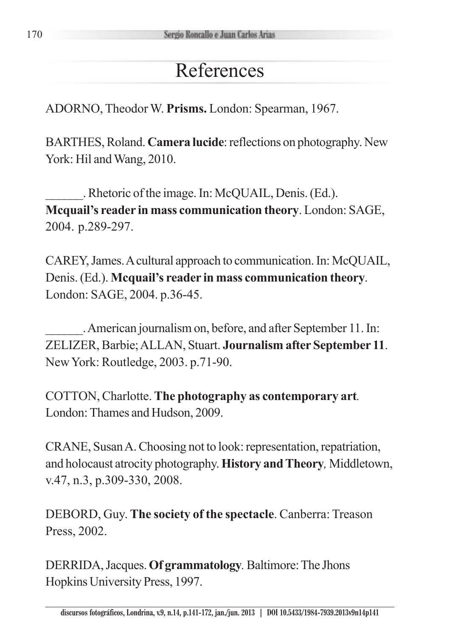## References

ADORNO, Theodor W. **Prisms.** London: Spearman, 1967.

BARTHES, Roland. **Camera lucide**: reflections on photography. New York: Hil and Wang, 2010.

\_\_\_\_\_\_. Rhetoric of the image. In: McQUAIL, Denis. (Ed.). **Mcquail's reader in mass communication theory**. London: SAGE, 2004. p.289-297.

CAREY, James. A cultural approach to communication. In: McQUAIL, Denis. (Ed.). **Mcquail's reader in mass communication theory**. London: SAGE, 2004. p.36-45.

. American journalism on, before, and after September 11. In: ZELIZER, Barbie; ALLAN, Stuart. **Journalism after September 11**. New York: Routledge, 2003. p.71-90.

COTTON, Charlotte. **The photography as contemporary art***.* London: Thames and Hudson, 2009.

CRANE, Susan A. Choosing not to look: representation, repatriation, and holocaust atrocity photography. **History and Theory***,* Middletown, v.47, n.3, p.309-330, 2008.

DEBORD, Guy. **The society of the spectacle**. Canberra: Treason Press, 2002.

DERRIDA, Jacques. **Of grammatology***.* Baltimore: The Jhons Hopkins University Press, 1997.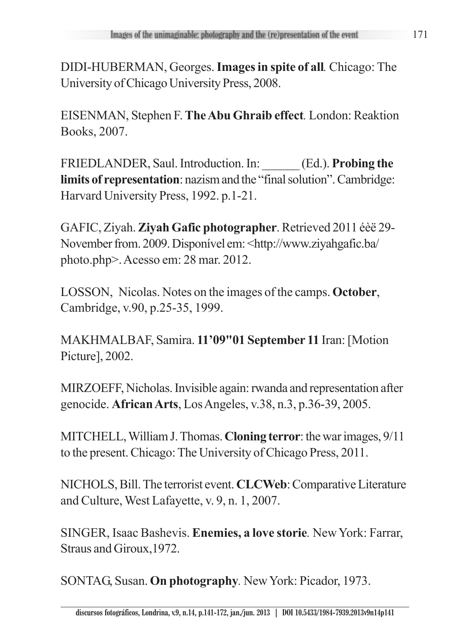DIDI-HUBERMAN, Georges. **Images in spite of all***.* Chicago: The University of Chicago University Press, 2008.

EISENMAN, Stephen F. **The Abu Ghraib effect***.* London: Reaktion Books, 2007.

FRIEDLANDER, Saul. Introduction. In: \_\_\_\_\_\_ (Ed.). **Probing the limits of representation**: nazism and the "final solution". Cambridge: Harvard University Press, 1992. p.1-21.

GAFIC, Ziyah. **Ziyah Gafic photographer**. Retrieved 2011 éèë 29- November from. 2009. Disponível em: <http://www.ziyahgafic.ba/ photo.php>. Acesso em: 28 mar. 2012.

LOSSON, Nicolas. Notes on the images of the camps. **October**, Cambridge, v.90, p.25-35, 1999.

MAKHMALBAF, Samira. **11'09"01 September 11** Iran: [Motion Picture], 2002.

MIRZOEFF, Nicholas. Invisible again: rwanda and representation after genocide. **African Arts**, Los Angeles, v.38, n.3, p.36-39, 2005.

MITCHELL, William J. Thomas. **Cloning terror**: the war images, 9/11 to the present. Chicago: The University of Chicago Press, 2011.

NICHOLS, Bill. The terrorist event. **CLCWeb**: Comparative Literature and Culture, West Lafayette, v. 9, n. 1, 2007.

SINGER, Isaac Bashevis. **Enemies, a love storie***.* New York: Farrar, Straus and Giroux,1972.

SONTAG, Susan. **On photography***.* New York: Picador, 1973.